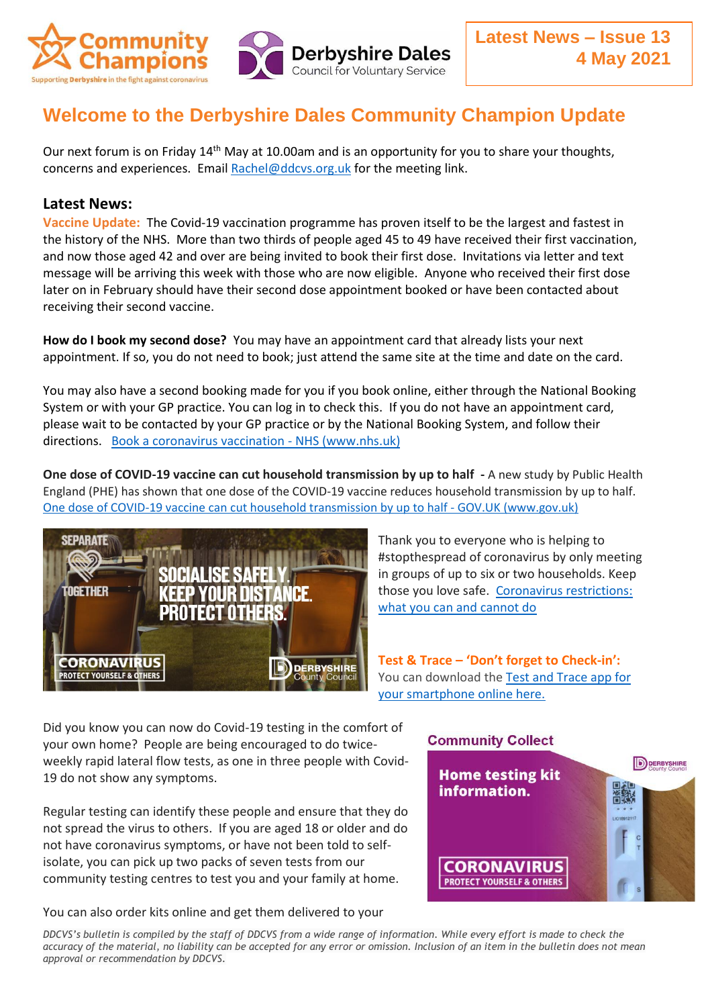

## **Welcome to the Derbyshire Dales Community Champion Update**

Our next forum is on Friday  $14<sup>th</sup>$  May at 10.00am and is an opportunity for you to share your thoughts, concerns and experiences. Email [Rachel@ddcvs.org.uk](mailto:Rachel@ddcvs.org.uk) for the meeting link.

## **Latest News:**

**Vaccine Update:** The Covid-19 vaccination programme has proven itself to be the largest and fastest in the history of the NHS. More than two thirds of people aged 45 to 49 have received their first vaccination, and now those aged 42 and over are being invited to book their first dose. Invitations via letter and text message will be arriving this week with those who are now eligible. Anyone who received their first dose later on in February should have their second dose appointment booked or have been contacted about receiving their second vaccine.

**How do I book my second dose?** You may have an appointment card that already lists your next appointment. If so, you do not need to book; just attend the same site at the time and date on the card.

You may also have a second booking made for you if you book online, either through the National Booking System or with your GP practice. You can log in to check this. If you do not have an appointment card, please wait to be contacted by your GP practice or by the National Booking System, and follow their directions. [Book a coronavirus vaccination -](https://www.nhs.uk/conditions/coronavirus-covid-19/coronavirus-vaccination/book-coronavirus-vaccination/) NHS (www.nhs.u[k\)](https://www.nhs.uk/conditions/coronavirus-covid-19/coronavirus-vaccination/book-coronavirus-vaccination/)

**One dose of COVID-19 vaccine can cut household transmission by up to half -** A new study by Public Health England (PHE) has shown that one dose of the COVID-19 vaccine reduces household transmission by up to half. [One dose of COVID-19 vaccine can cut household transmission by up to half -](https://www.gov.uk/government/news/one-dose-of-covid-19-vaccine-can-cut-household-transmission-by-up-to-half) GOV.UK (www.gov.uk)



Thank you to everyone who is helping to #stopthespread of coronavirus by only meeting in groups of up to six or two households. Keep those you love safe. [Coronavirus restrictions:](https://www.gov.uk/guidance/covid-19-coronavirus-restrictions-what-you-can-and-cannot-do)  [what you can and cannot do](https://www.gov.uk/guidance/covid-19-coronavirus-restrictions-what-you-can-and-cannot-do)

**Test & Trace – 'Don't forget to Check-in':**  You can download the [Test and Trace app for](https://lnks.gd/l/eyJhbGciOiJIUzI1NiJ9.eyJidWxsZXRpbl9saW5rX2lkIjoxMDQsInVyaSI6ImJwMjpjbGljayIsImJ1bGxldGluX2lkIjoiMjAyMTA0MjkuMzk2NTU0NTEiLCJ1cmwiOiJodHRwczovL3d3dy5uaHMudWsvYXBwcy1saWJyYXJ5L25ocy1jb3ZpZC0xOS8ifQ.ZZB4gfTUBmsAkKm5trAqteRJikRpTVZ3QBiF6wfjTtQ/s/796336729/br/105590864610-l)  [your smartphone online here.](https://lnks.gd/l/eyJhbGciOiJIUzI1NiJ9.eyJidWxsZXRpbl9saW5rX2lkIjoxMDQsInVyaSI6ImJwMjpjbGljayIsImJ1bGxldGluX2lkIjoiMjAyMTA0MjkuMzk2NTU0NTEiLCJ1cmwiOiJodHRwczovL3d3dy5uaHMudWsvYXBwcy1saWJyYXJ5L25ocy1jb3ZpZC0xOS8ifQ.ZZB4gfTUBmsAkKm5trAqteRJikRpTVZ3QBiF6wfjTtQ/s/796336729/br/105590864610-l)

Did you know you can now do Covid-19 testing in the comfort of your own home? People are being encouraged to do twiceweekly rapid lateral flow tests, as one in three people with Covid-19 do not show any symptoms.

Regular testing can identify these people and ensure that they do not spread the virus to others. If you are aged 18 or older and do not have coronavirus symptoms, or have not been told to selfisolate, you can pick up two packs of seven tests from our community testing centres to test you and your family at home.

You can also order kits online and get them delivered to your



*DDCVS's bulletin is compiled by the staff of DDCVS from a wide range of information. While every effort is made to check the accuracy of the material, no liability can be accepted for any error or omission. Inclusion of an item in the bulletin does not mean approval or recommendation by DDCVS.*